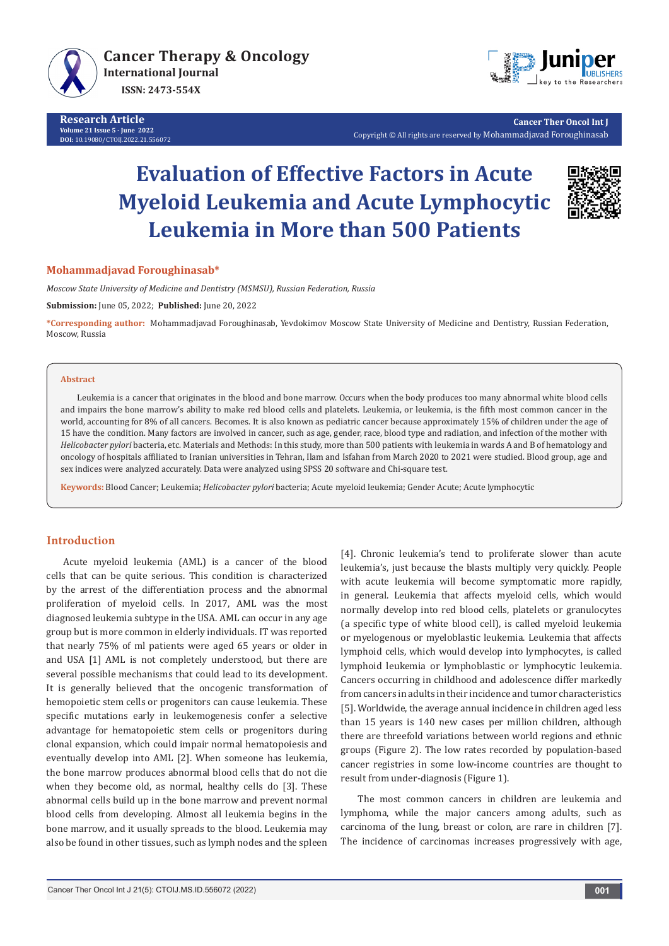

**Research Article Volume 21 Issue 5 - June 2022 DOI:** [10.19080/CTOIJ.2022.21.55607](http://dx.doi.org/10.19080/CTOIJ.2022.21.556072)2



**Cancer Ther Oncol Int J** Copyright © All rights are reserved by Mohammadjavad Foroughinasab

# **Evaluation of Effective Factors in Acute Myeloid Leukemia and Acute Lymphocytic Leukemia in More than 500 Patients**



### **Mohammadjavad Foroughinasab\***

*Moscow State University of Medicine and Dentistry (MSMSU), Russian Federation, Russia*

**Submission:** June 05, 2022; **Published:** June 20, 2022

**\*Corresponding author:** Mohammadjavad Foroughinasab, Yevdokimov Moscow State University of Medicine and Dentistry, Russian Federation, Moscow, Russia

#### **Abstract**

Leukemia is a cancer that originates in the blood and bone marrow. Occurs when the body produces too many abnormal white blood cells and impairs the bone marrow's ability to make red blood cells and platelets. Leukemia, or leukemia, is the fifth most common cancer in the world, accounting for 8% of all cancers. Becomes. It is also known as pediatric cancer because approximately 15% of children under the age of 15 have the condition. Many factors are involved in cancer, such as age, gender, race, blood type and radiation, and infection of the mother with *Helicobacter pylori* bacteria, etc. Materials and Methods: In this study, more than 500 patients with leukemia in wards A and B of hematology and oncology of hospitals affiliated to Iranian universities in Tehran, Ilam and Isfahan from March 2020 to 2021 were studied. Blood group, age and sex indices were analyzed accurately. Data were analyzed using SPSS 20 software and Chi-square test.

**Keywords:** Blood Cancer; Leukemia; *Helicobacter pylori* bacteria; Acute myeloid leukemia; Gender Acute; Acute lymphocytic

## **Introduction**

Acute myeloid leukemia (AML) is a cancer of the blood cells that can be quite serious. This condition is characterized by the arrest of the differentiation process and the abnormal proliferation of myeloid cells. In 2017, AML was the most diagnosed leukemia subtype in the USA. AML can occur in any age group but is more common in elderly individuals. IT was reported that nearly 75% of ml patients were aged 65 years or older in and USA [1] AML is not completely understood, but there are several possible mechanisms that could lead to its development. It is generally believed that the oncogenic transformation of hemopoietic stem cells or progenitors can cause leukemia. These specific mutations early in leukemogenesis confer a selective advantage for hematopoietic stem cells or progenitors during clonal expansion, which could impair normal hematopoiesis and eventually develop into AML [2]. When someone has leukemia, the bone marrow produces abnormal blood cells that do not die when they become old, as normal, healthy cells do [3]. These abnormal cells build up in the bone marrow and prevent normal blood cells from developing. Almost all leukemia begins in the bone marrow, and it usually spreads to the blood. Leukemia may also be found in other tissues, such as lymph nodes and the spleen

[4]. Chronic leukemia's tend to proliferate slower than acute leukemia's, just because the blasts multiply very quickly. People with acute leukemia will become symptomatic more rapidly, in general. Leukemia that affects myeloid cells, which would normally develop into red blood cells, platelets or granulocytes (a specific type of white blood cell), is called myeloid leukemia or myelogenous or myeloblastic leukemia. Leukemia that affects lymphoid cells, which would develop into lymphocytes, is called lymphoid leukemia or lymphoblastic or lymphocytic leukemia. Cancers occurring in childhood and adolescence differ markedly from cancers in adults in their incidence and tumor characteristics [5]. Worldwide, the average annual incidence in children aged less than 15 years is 140 new cases per million children, although there are threefold variations between world regions and ethnic groups (Figure 2). The low rates recorded by population-based cancer registries in some low-income countries are thought to result from under-diagnosis (Figure 1).

The most common cancers in children are leukemia and lymphoma, while the major cancers among adults, such as carcinoma of the lung, breast or colon, are rare in children [7]. The incidence of carcinomas increases progressively with age,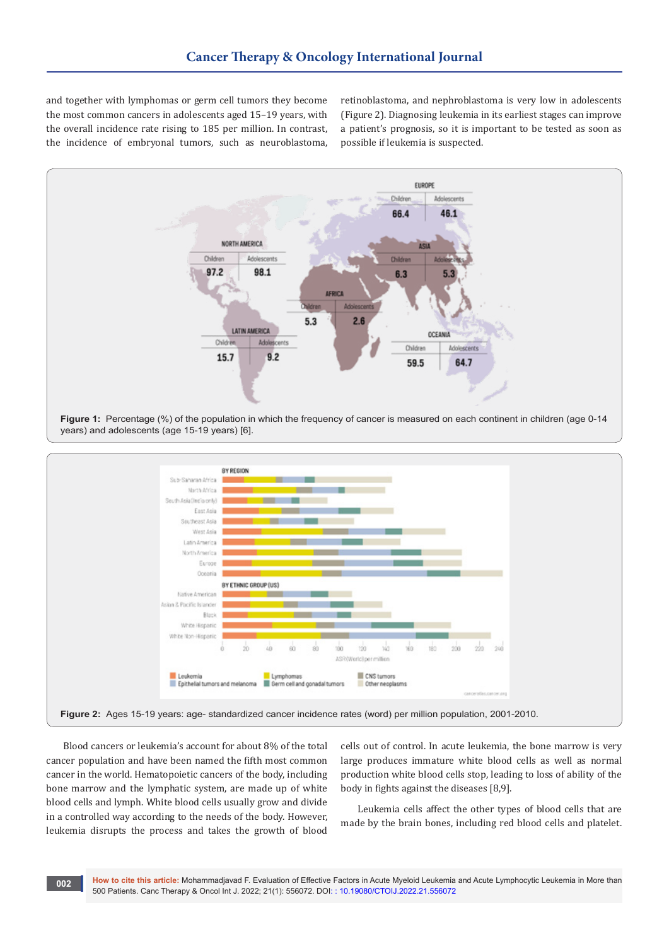and together with lymphomas or germ cell tumors they become the most common cancers in adolescents aged 15–19 years, with the overall incidence rate rising to 185 per million. In contrast, the incidence of embryonal tumors, such as neuroblastoma, retinoblastoma, and nephroblastoma is very low in adolescents (Figure 2). Diagnosing leukemia in its earliest stages can improve a patient's prognosis, so it is important to be tested as soon as possible if leukemia is suspected.



**Figure 1:** Percentage (%) of the population in which the frequency of cancer is measured on each continent in children (age 0-14 years) and adolescents (age 15-19 years) [6].



Blood cancers or leukemia's account for about 8% of the total cancer population and have been named the fifth most common cancer in the world. Hematopoietic cancers of the body, including bone marrow and the lymphatic system, are made up of white blood cells and lymph. White blood cells usually grow and divide in a controlled way according to the needs of the body. However, leukemia disrupts the process and takes the growth of blood

**002**

cells out of control. In acute leukemia, the bone marrow is very large produces immature white blood cells as well as normal production white blood cells stop, leading to loss of ability of the body in fights against the diseases [8,9].

Leukemia cells affect the other types of blood cells that are made by the brain bones, including red blood cells and platelet.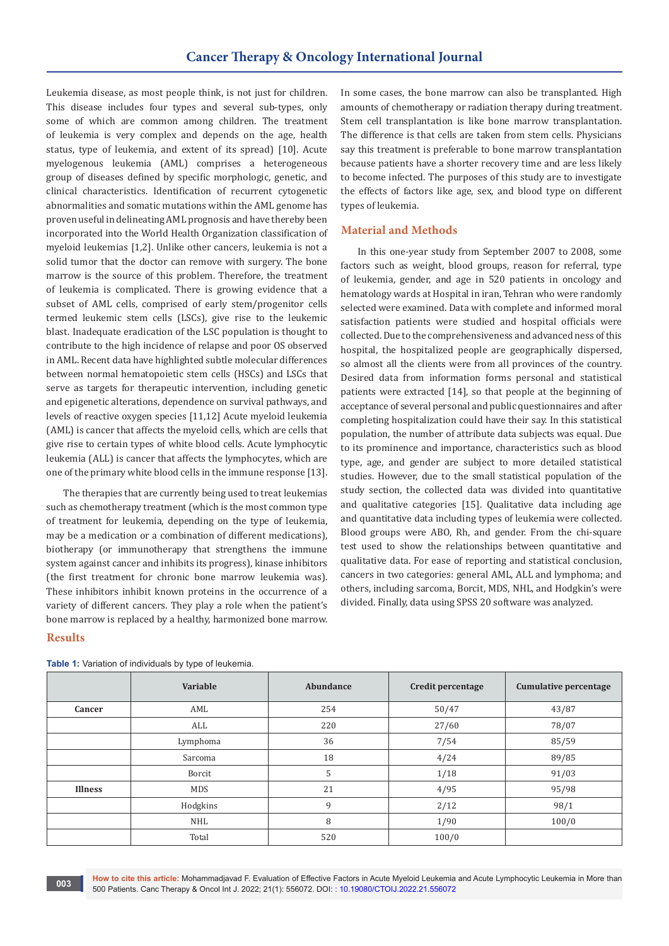Leukemia disease, as most people think, is not just for children. This disease includes four types and several sub-types, only some of which are common among children. The treatment of leukemia is very complex and depends on the age, health status, type of leukemia, and extent of its spread) [10]. Acute myelogenous leukemia (AML) comprises a heterogeneous group of diseases defined by specific morphologic, genetic, and clinical characteristics. Identification of recurrent cytogenetic abnormalities and somatic mutations within the AML genome has proven useful in delineating AML prognosis and have thereby been incorporated into the World Health Organization classification of myeloid leukemias [1,2]. Unlike other cancers, leukemia is not a solid tumor that the doctor can remove with surgery. The bone marrow is the source of this problem. Therefore, the treatment of leukemia is complicated. There is growing evidence that a subset of AML cells, comprised of early stem/progenitor cells termed leukemic stem cells (LSCs), give rise to the leukemic blast. Inadequate eradication of the LSC population is thought to contribute to the high incidence of relapse and poor OS observed in AML. Recent data have highlighted subtle molecular differences between normal hematopoietic stem cells (HSCs) and LSCs that serve as targets for therapeutic intervention, including genetic and epigenetic alterations, dependence on survival pathways, and levels of reactive oxygen species [11,12] Acute myeloid leukemia (AML) is cancer that affects the myeloid cells, which are cells that give rise to certain types of white blood cells. Acute lymphocytic leukemia (ALL) is cancer that affects the lymphocytes, which are one of the primary white blood cells in the immune response [13].

The therapies that are currently being used to treat leukemias such as chemotherapy treatment (which is the most common type of treatment for leukemia, depending on the type of leukemia, may be a medication or a combination of different medications), biotherapy (or immunotherapy that strengthens the immune system against cancer and inhibits its progress), kinase inhibitors (the first treatment for chronic bone marrow leukemia was). These inhibitors inhibit known proteins in the occurrence of a variety of different cancers. They play a role when the patient's bone marrow is replaced by a healthy, harmonized bone marrow.

## **Results**

**Variable Abundance Credit percentage Cumulative percentage Cancer** AML AML 254 50/47 43/87 ALL 220 220 27/60 278/07 Lymphoma (1985/59) 36 7/54 7/54 85/59 Sarcoma (18 18 4/24 89/85 Borcit (1990) 5 1/18 91/03 **Illness** NDS MDS 21 4/95 95/98 Hodgkins 9 2/12 98/1 NHL 100/0 Total 100/0

**Table 1:** Variation of individuals by type of leukemia.

In some cases, the bone marrow can also be transplanted. High amounts of chemotherapy or radiation therapy during treatment. Stem cell transplantation is like bone marrow transplantation. The difference is that cells are taken from stem cells. Physicians say this treatment is preferable to bone marrow transplantation because patients have a shorter recovery time and are less likely to become infected. The purposes of this study are to investigate the effects of factors like age, sex, and blood type on different types of leukemia.

## **Material and Methods**

In this one-year study from September 2007 to 2008, some factors such as weight, blood groups, reason for referral, type of leukemia, gender, and age in 520 patients in oncology and hematology wards at Hospital in iran, Tehran who were randomly selected were examined. Data with complete and informed moral satisfaction patients were studied and hospital officials were collected. Due to the comprehensiveness and advanced ness of this hospital, the hospitalized people are geographically dispersed, so almost all the clients were from all provinces of the country. Desired data from information forms personal and statistical patients were extracted [14], so that people at the beginning of acceptance of several personal and public questionnaires and after completing hospitalization could have their say. In this statistical population, the number of attribute data subjects was equal. Due to its prominence and importance, characteristics such as blood type, age, and gender are subject to more detailed statistical studies. However, due to the small statistical population of the study section, the collected data was divided into quantitative and qualitative categories [15]. Qualitative data including age and quantitative data including types of leukemia were collected. Blood groups were ABO, Rh, and gender. From the chi-square test used to show the relationships between quantitative and qualitative data. For ease of reporting and statistical conclusion, cancers in two categories: general AML, ALL and lymphoma; and others, including sarcoma, Borcit, MDS, NHL, and Hodgkin's were divided. Finally, data using SPSS 20 software was analyzed.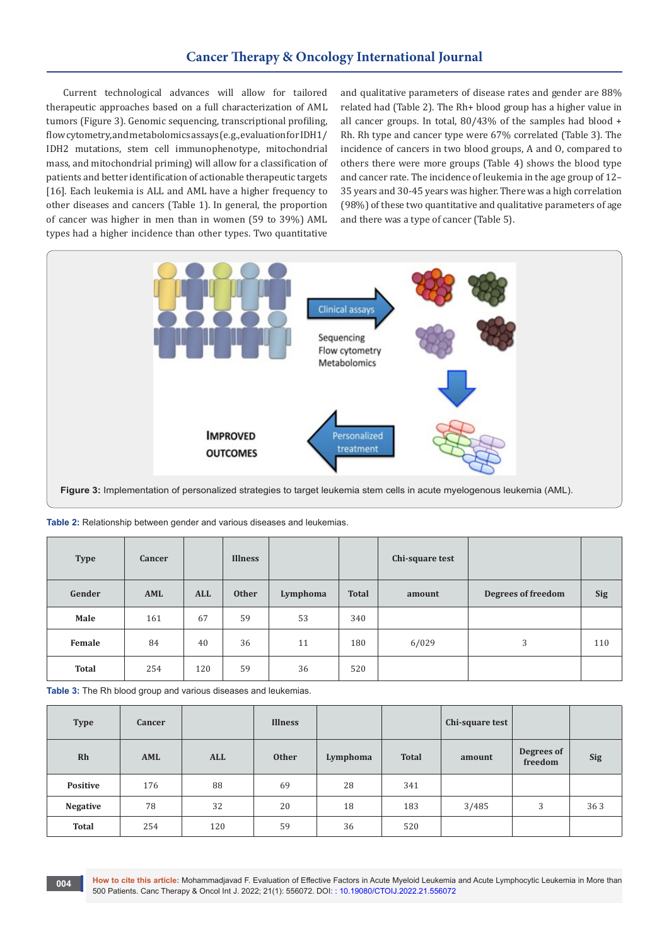## **Cancer Therapy & Oncology International Journal**

Current technological advances will allow for tailored therapeutic approaches based on a full characterization of AML tumors (Figure 3). Genomic sequencing, transcriptional profiling, flow cytometry, and metabolomics assays (e.g., evaluation for IDH1/ IDH2 mutations, stem cell immunophenotype, mitochondrial mass, and mitochondrial priming) will allow for a classification of patients and better identification of actionable therapeutic targets [16]. Each leukemia is ALL and AML have a higher frequency to other diseases and cancers (Table 1). In general, the proportion of cancer was higher in men than in women (59 to 39%) AML types had a higher incidence than other types. Two quantitative

and qualitative parameters of disease rates and gender are 88% related had (Table 2). The Rh+ blood group has a higher value in all cancer groups. In total, 80/43% of the samples had blood + Rh. Rh type and cancer type were 67% correlated (Table 3). The incidence of cancers in two blood groups, A and O, compared to others there were more groups (Table 4) shows the blood type and cancer rate. The incidence of leukemia in the age group of 12– 35 years and 30-45 years was higher. There was a high correlation (98%) of these two quantitative and qualitative parameters of age and there was a type of cancer (Table 5).



**Figure 3:** Implementation of personalized strategies to target leukemia stem cells in acute myelogenous leukemia (AML).

| <b>Type</b>  | Cancer |            | <b>Illness</b> |          |              | Chi-square test |                    |            |
|--------------|--------|------------|----------------|----------|--------------|-----------------|--------------------|------------|
| Gender       | AML    | <b>ALL</b> | <b>Other</b>   | Lymphoma | <b>Total</b> | amount          | Degrees of freedom | <b>Sig</b> |
| Male         | 161    | 67         | 59             | 53       | 340          |                 |                    |            |
| Female       | 84     | 40         | 36             | 11       | 180          | 6/029           | 3                  | 110        |
| <b>Total</b> | 254    | 120        | 59             | 36       | 520          |                 |                    |            |

| Table 2: Relationship between gender and various diseases and leukemias. |  |  |  |
|--------------------------------------------------------------------------|--|--|--|
|--------------------------------------------------------------------------|--|--|--|

**Table 3:** The Rh blood group and various diseases and leukemias.

| <b>Type</b>     | <b>Cancer</b> |            | <b>Illness</b> |          |              | Chi-square test |                       |            |
|-----------------|---------------|------------|----------------|----------|--------------|-----------------|-----------------------|------------|
| Rh              | AML           | <b>ALL</b> | <b>Other</b>   | Lymphoma | <b>Total</b> | amount          | Degrees of<br>freedom | <b>Sig</b> |
| <b>Positive</b> | 176           | 88         | 69             | 28       | 341          |                 |                       |            |
| <b>Negative</b> | 78            | 32         | 20             | 18       | 183          | 3/485           | 3                     | 363        |
| <b>Total</b>    | 254           | 120        | 59             | 36       | 520          |                 |                       |            |

**How to cite this article:** Mohammadjavad F. Evaluation of Effective Factors in Acute Myeloid Leukemia and Acute Lymphocytic Leukemia in More than 500 Patients. Canc Therapy & Oncol Int J. 2022; 21(1): 556072. DOI: : [10.19080/CTOIJ.2022.21.55607](http://dx.doi.org/10.19080/CTOIJ.2022.21.556072)2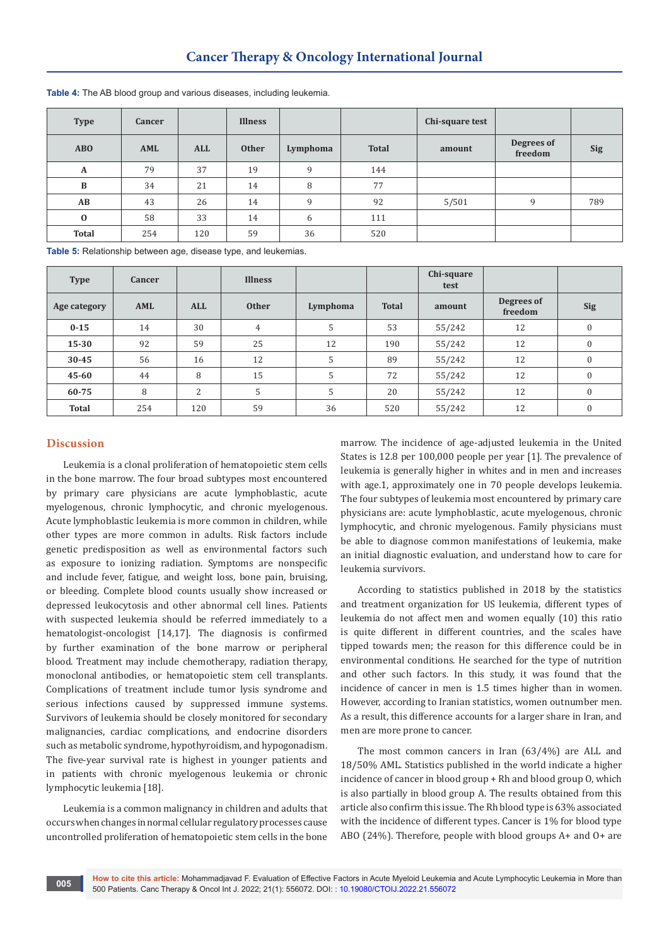| <b>Type</b>  | Cancer |            | <b>Illness</b> |          |              | Chi-square test |                       |            |
|--------------|--------|------------|----------------|----------|--------------|-----------------|-----------------------|------------|
| ABO          | AML    | <b>ALL</b> | <b>Other</b>   | Lymphoma | <b>Total</b> | amount          | Degrees of<br>freedom | <b>Sig</b> |
| A            | 79     | 37         | 19             | 9        | 144          |                 |                       |            |
| $\, {\bf B}$ | 34     | 21         | 14             | 8        | 77           |                 |                       |            |
| AB           | 43     | 26         | 14             | 9        | 92           | 5/501           | 9                     | 789        |
| $\bf{0}$     | 58     | 33         | 14             | 6        | 111          |                 |                       |            |
| <b>Total</b> | 254    | 120        | 59             | 36       | 520          |                 |                       |            |

**Table 4:** The AB blood group and various diseases, including leukemia.

**Table 5:** Relationship between age, disease type, and leukemias.

| <b>Type</b>  | Cancer |                | <b>Illness</b> |          |              | Chi-square<br>test |                       |              |
|--------------|--------|----------------|----------------|----------|--------------|--------------------|-----------------------|--------------|
| Age category | AML    | <b>ALL</b>     | <b>Other</b>   | Lymphoma | <b>Total</b> | amount             | Degrees of<br>freedom | <b>Sig</b>   |
| $0 - 15$     | 14     | 30             | $\overline{4}$ | 5        | 53           | 55/242             | 12                    | $\mathbf{0}$ |
| $15 - 30$    | 92     | 59             | 25             | 12       | 190          | 55/242             | 12                    | $\mathbf{0}$ |
| $30 - 45$    | 56     | 16             | 12             | 5        | 89           | 55/242             | 12                    | $\mathbf{0}$ |
| 45-60        | 44     | 8              | 15             | 5        | 72           | 55/242             | 12                    | $\mathbf{0}$ |
| 60-75        | 8      | $\overline{2}$ | 5              | 5        | 20           | 55/242             | 12                    | $\mathbf{0}$ |
| <b>Total</b> | 254    | 120            | 59             | 36       | 520          | 55/242             | 12                    | $\mathbf{0}$ |

## **Discussion**

Leukemia is a clonal proliferation of hematopoietic stem cells in the bone marrow. The four broad subtypes most encountered by primary care physicians are acute lymphoblastic, acute myelogenous, chronic lymphocytic, and chronic myelogenous. Acute lymphoblastic leukemia is more common in children, while other types are more common in adults. Risk factors include genetic predisposition as well as environmental factors such as exposure to ionizing radiation. Symptoms are nonspecific and include fever, fatigue, and weight loss, bone pain, bruising, or bleeding. Complete blood counts usually show increased or depressed leukocytosis and other abnormal cell lines. Patients with suspected leukemia should be referred immediately to a hematologist-oncologist [14,17]. The diagnosis is confirmed by further examination of the bone marrow or peripheral blood. Treatment may include chemotherapy, radiation therapy, monoclonal antibodies, or hematopoietic stem cell transplants. Complications of treatment include tumor lysis syndrome and serious infections caused by suppressed immune systems. Survivors of leukemia should be closely monitored for secondary malignancies, cardiac complications, and endocrine disorders such as metabolic syndrome, hypothyroidism, and hypogonadism. The five-year survival rate is highest in younger patients and in patients with chronic myelogenous leukemia or chronic lymphocytic leukemia [18].

Leukemia is a common malignancy in children and adults that occurs when changes in normal cellular regulatory processes cause uncontrolled proliferation of hematopoietic stem cells in the bone

marrow. The incidence of age-adjusted leukemia in the United States is 12.8 per 100,000 people per year [1]. The prevalence of leukemia is generally higher in whites and in men and increases with age.1, approximately one in 70 people develops leukemia. The four subtypes of leukemia most encountered by primary care physicians are: acute lymphoblastic, acute myelogenous, chronic lymphocytic, and chronic myelogenous. Family physicians must be able to diagnose common manifestations of leukemia, make an initial diagnostic evaluation, and understand how to care for leukemia survivors.

According to statistics published in 2018 by the statistics and treatment organization for US leukemia, different types of leukemia do not affect men and women equally (10) this ratio is quite different in different countries, and the scales have tipped towards men; the reason for this difference could be in environmental conditions. He searched for the type of nutrition and other such factors. In this study, it was found that the incidence of cancer in men is 1.5 times higher than in women. However, according to Iranian statistics, women outnumber men. As a result, this difference accounts for a larger share in Iran, and men are more prone to cancer.

The most common cancers in Iran (63/4%) are ALL and 18/50% AML. Statistics published in the world indicate a higher incidence of cancer in blood group + Rh and blood group O, which is also partially in blood group A. The results obtained from this article also confirm this issue. The Rh blood type is 63% associated with the incidence of different types. Cancer is 1% for blood type ABO (24%). Therefore, people with blood groups A+ and O+ are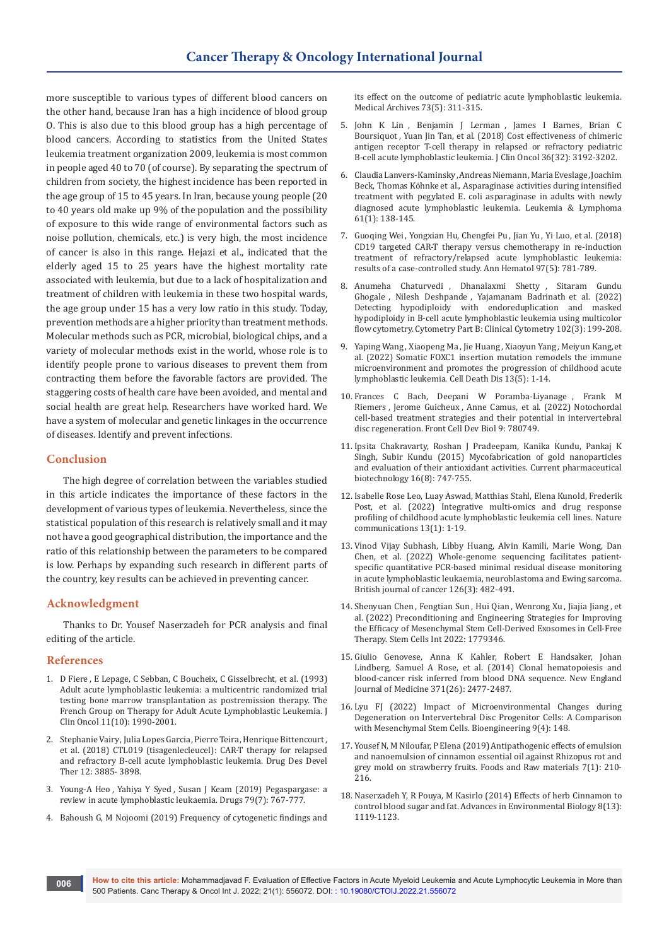more susceptible to various types of different blood cancers on the other hand, because Iran has a high incidence of blood group O. This is also due to this blood group has a high percentage of blood cancers. According to statistics from the United States leukemia treatment organization 2009, leukemia is most common in people aged 40 to 70 (of course). By separating the spectrum of children from society, the highest incidence has been reported in the age group of 15 to 45 years. In Iran, because young people (20 to 40 years old make up 9% of the population and the possibility of exposure to this wide range of environmental factors such as noise pollution, chemicals, etc.) is very high, the most incidence of cancer is also in this range. Hejazi et al., indicated that the elderly aged 15 to 25 years have the highest mortality rate associated with leukemia, but due to a lack of hospitalization and treatment of children with leukemia in these two hospital wards, the age group under 15 has a very low ratio in this study. Today, prevention methods are a higher priority than treatment methods. Molecular methods such as PCR, microbial, biological chips, and a variety of molecular methods exist in the world, whose role is to identify people prone to various diseases to prevent them from contracting them before the favorable factors are provided. The staggering costs of health care have been avoided, and mental and social health are great help. Researchers have worked hard. We have a system of molecular and genetic linkages in the occurrence of diseases. Identify and prevent infections.

## **Conclusion**

The high degree of correlation between the variables studied in this article indicates the importance of these factors in the development of various types of leukemia. Nevertheless, since the statistical population of this research is relatively small and it may not have a good geographical distribution, the importance and the ratio of this relationship between the parameters to be compared is low. Perhaps by expanding such research in different parts of the country, key results can be achieved in preventing cancer.

## **Acknowledgment**

Thanks to Dr. Yousef Naserzadeh for PCR analysis and final editing of the article.

## **References**

- 1. D Fiere , E Lepage, C Sebban, C Boucheix, [C Gisselbrecht,](https://pubmed.ncbi.nlm.nih.gov/8410124/) et al. (1993) [Adult acute lymphoblastic leukemia: a multicentric randomized trial](https://pubmed.ncbi.nlm.nih.gov/8410124/)  [testing bone marrow transplantation as postremission therapy. The](https://pubmed.ncbi.nlm.nih.gov/8410124/)  [French Group on Therapy for Adult Acute Lymphoblastic Leukemia. J](https://pubmed.ncbi.nlm.nih.gov/8410124/)  [Clin Oncol 11\(10\): 1990-2001.](https://pubmed.ncbi.nlm.nih.gov/8410124/)
- 2. Stephanie Vairy, Julia Lopes Garcia, Pierre Teira, Henrique Bittencourt, [et al. \(2018\) CTL019 \(tisagenlecleucel\): CAR-T therapy for relapsed](https://pubmed.ncbi.nlm.nih.gov/30518999/)  [and refractory B-cell acute lymphoblastic leukemia. Drug Des Devel](https://pubmed.ncbi.nlm.nih.gov/30518999/)  [Ther 12: 3885- 3898.](https://pubmed.ncbi.nlm.nih.gov/30518999/)
- 3. Young-A Heo , Yahiya Y Syed , [Susan J Keam \(2019\) Pegaspargase: a](https://pubmed.ncbi.nlm.nih.gov/31030380/)  [review in acute lymphoblastic leukaemia. Drugs 79\(7\): 767-777.](https://pubmed.ncbi.nlm.nih.gov/31030380/)
- 4. [Bahoush G, M Nojoomi \(2019\) Frequency of cytogenetic findings and](https://pubmed.ncbi.nlm.nih.gov/31819303/)

[its effect on the outcome of pediatric acute lymphoblastic leukemia.](https://pubmed.ncbi.nlm.nih.gov/31819303/)  [Medical Archives 73\(5\): 311-315.](https://pubmed.ncbi.nlm.nih.gov/31819303/)

- 5. John K Lin , [Benjamin J Lerman](https://pubmed.ncbi.nlm.nih.gov/30212291/) , James I Barnes, Brian C Boursiquot , [Yuan Jin Tan, et al. \(2018\) Cost effectiveness of chimeric](https://pubmed.ncbi.nlm.nih.gov/30212291/)  [antigen receptor T-cell therapy in relapsed or refractory pediatric](https://pubmed.ncbi.nlm.nih.gov/30212291/)  [B-cell acute lymphoblastic leukemia. J Clin Oncol 36\(32\): 3192-3202.](https://pubmed.ncbi.nlm.nih.gov/30212291/)
- 6. Claudia Lanvers-Kaminsky, Andreas Niemann, Maria Eveslage, Joachim Beck, Thomas Köhnke [et al., Asparaginase activities during intensified](https://pubmed.ncbi.nlm.nih.gov/31480965/)  [treatment with pegylated E. coli asparaginase in adults with newly](https://pubmed.ncbi.nlm.nih.gov/31480965/)  [diagnosed acute lymphoblastic leukemia. Leukemia & Lymphoma](https://pubmed.ncbi.nlm.nih.gov/31480965/)  [61\(1\): 138-145.](https://pubmed.ncbi.nlm.nih.gov/31480965/)
- 7. Guoqing Wei , Yongxian Hu, Chengfei Pu , Jian Yu , [Yi Luo, et al. \(2018\)](https://pubmed.ncbi.nlm.nih.gov/29417201/)  [CD19 targeted CAR-T therapy versus chemotherapy in re-induction](https://pubmed.ncbi.nlm.nih.gov/29417201/)  [treatment of refractory/relapsed acute lymphoblastic leukemia:](https://pubmed.ncbi.nlm.nih.gov/29417201/)  [results of a case-controlled study. Ann Hematol 97\(5\): 781-789.](https://pubmed.ncbi.nlm.nih.gov/29417201/)
- 8. [Anumeha Chaturvedi](https://pubmed.ncbi.nlm.nih.gov/35212133/) , Dhanalaxmi Shetty , Sitaram Gundu Ghogale , Nilesh Deshpande , [Yajamanam Badrinath](https://pubmed.ncbi.nlm.nih.gov/35212133/) et al. (2022) [Detecting hypodiploidy with endoreduplication and masked](https://pubmed.ncbi.nlm.nih.gov/35212133/)  [hypodiploidy in B-cell acute lymphoblastic leukemia using multicolor](https://pubmed.ncbi.nlm.nih.gov/35212133/)  [flow cytometry. Cytometry Part B: Clinical Cytometry 102\(3\): 199-208.](https://pubmed.ncbi.nlm.nih.gov/35212133/)
- 9. Yaping Wang, Xiaopeng Ma, Jie Huang, Xiaoyun Yang, [Meiyun Kang,](https://pubmed.ncbi.nlm.nih.gov/35504885/) et [al. \(2022\) Somatic FOXC1 insertion mutation remodels the immune](https://pubmed.ncbi.nlm.nih.gov/35504885/)  [microenvironment and promotes the progression of childhood acute](https://pubmed.ncbi.nlm.nih.gov/35504885/)  [lymphoblastic leukemia. Cell Death Dis 13\(5\): 1-14.](https://pubmed.ncbi.nlm.nih.gov/35504885/)
- 10. Frances C Bach, [Deepani W Poramba-Liyanage](https://pubmed.ncbi.nlm.nih.gov/35359916/) , Frank M Riemers , Jerome Guicheux , [Anne Camus, et al. \(2022\) Notochordal](https://pubmed.ncbi.nlm.nih.gov/35359916/)  [cell-based treatment strategies and their potential in intervertebral](https://pubmed.ncbi.nlm.nih.gov/35359916/)  [disc regeneration. Front Cell Dev Biol 9: 780749.](https://pubmed.ncbi.nlm.nih.gov/35359916/)
- 11. Ipsita Chakravarty, [Roshan J Pradeepam,](https://pubmed.ncbi.nlm.nih.gov/26044865/) Kanika Kundu, Pankaj K Singh, [Subir Kundu \(2015\) Mycofabrication of gold nanoparticles](https://pubmed.ncbi.nlm.nih.gov/26044865/)  [and evaluation of their antioxidant activities. Current pharmaceutical](https://pubmed.ncbi.nlm.nih.gov/26044865/)  [biotechnology 16\(8\): 747-755.](https://pubmed.ncbi.nlm.nih.gov/26044865/)
- 12. [Isabelle Rose Leo, Luay Aswad,](https://www.nature.com/articles/s41467-022-29224-5) Matthias Stahl, Elena Kunold, Frederik [Post, et al. \(2022\) Integrative multi-omics and drug response](https://www.nature.com/articles/s41467-022-29224-5)  [profiling of childhood acute lymphoblastic leukemia cell lines. Nature](https://www.nature.com/articles/s41467-022-29224-5)  [communications 13\(1\): 1-19.](https://www.nature.com/articles/s41467-022-29224-5)
- 13. [Vinod Vijay Subhash, Libby Huang, Alvin Kamili, Marie Wong, Dan](https://www.nature.com/articles/s41416-021-01538-z)  [Chen, et al. \(2022\) Whole-genome sequencing facilitates patient](https://www.nature.com/articles/s41416-021-01538-z)[specific quantitative PCR-based minimal residual disease monitoring](https://www.nature.com/articles/s41416-021-01538-z)  [in acute lymphoblastic leukaemia, neuroblastoma and Ewing sarcoma.](https://www.nature.com/articles/s41416-021-01538-z)  [British journal of cancer 126\(3\): 482-491.](https://www.nature.com/articles/s41416-021-01538-z)
- 14. [Shenyuan Chen](https://pubmed.ncbi.nlm.nih.gov/35607400/) , Fengtian Sun , Hui Qian , Wenrong Xu , Jiajia Jiang , et [al. \(2022\) Preconditioning and Engineering Strategies for Improving](https://pubmed.ncbi.nlm.nih.gov/35607400/)  [the Efficacy of Mesenchymal Stem Cell-Derived Exosomes in Cell-Free](https://pubmed.ncbi.nlm.nih.gov/35607400/)  [Therapy. Stem Cells Int 2022: 1779346.](https://pubmed.ncbi.nlm.nih.gov/35607400/)
- 15. Giulio Genovese, Anna K Kahler, [Robert E Handsaker,](https://pubmed.ncbi.nlm.nih.gov/25426838/) Johan Lindberg, Samuel A Rose, [et al. \(2014\) Clonal hematopoiesis and](https://pubmed.ncbi.nlm.nih.gov/25426838/)  [blood-cancer risk inferred from blood DNA sequence. New England](https://pubmed.ncbi.nlm.nih.gov/25426838/)  [Journal of Medicine 371\(26\): 2477-2487.](https://pubmed.ncbi.nlm.nih.gov/25426838/)
- 16. [Lyu FJ \(2022\) Impact of Microenvironmental Changes during](https://www.mdpi.com/2306-5354/9/4/148?type=check_update&version=1)  [Degeneration on Intervertebral Disc Progenitor Cells: A Comparison](https://www.mdpi.com/2306-5354/9/4/148?type=check_update&version=1)  [with Mesenchymal Stem Cells. Bioengineering 9\(4\): 148](https://www.mdpi.com/2306-5354/9/4/148?type=check_update&version=1).
- 17. [Yousef N, M Niloufar, P Elena \(2019\) Antipathogenic effects of emulsion](https://www.cabdirect.org/cabdirect/abstract/20193324473)  [and nanoemulsion of cinnamon essential oil against Rhizopus rot and](https://www.cabdirect.org/cabdirect/abstract/20193324473)  [grey mold on strawberry fruits. Foods and Raw materials 7\(1\): 210-](https://www.cabdirect.org/cabdirect/abstract/20193324473) [216.](https://www.cabdirect.org/cabdirect/abstract/20193324473)
- 18. Naserzadeh Y, R Pouya, M Kasirlo (2014) Effects of herb Cinnamon to control blood sugar and fat. Advances in Environmental Biology 8(13): 1119-1123.